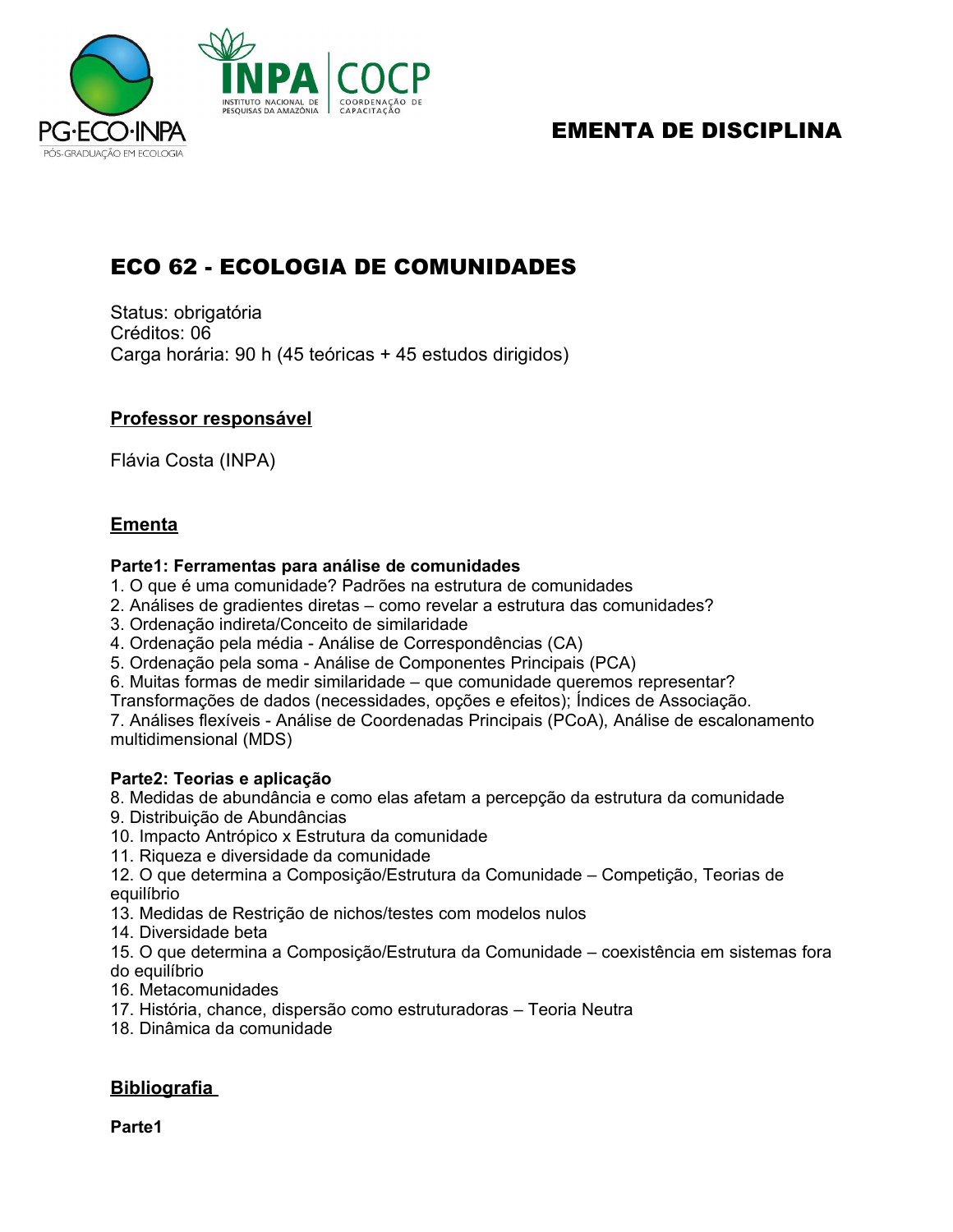

## EMENTA DE DISCIPLINA

# ECO 62 - ECOLOGIA DE COMUNIDADES

Status: obrigatória Créditos: 06 Carga horária: 90 h (45 teóricas + 45 estudos dirigidos)

## **Professor responsável**

Flávia Costa (INPA)

## **Ementa**

#### **Parte1: Ferramentas para análise de comunidades**

- 1. O que é uma comunidade? Padrões na estrutura de comunidades
- 2. Análises de gradientes diretas como revelar a estrutura das comunidades?
- 3. Ordenação indireta/Conceito de similaridade
- 4. Ordenação pela média Análise de Correspondências (CA)
- 5. Ordenação pela soma Análise de Componentes Principais (PCA)
- 6. Muitas formas de medir similaridade que comunidade queremos representar?
- Transformações de dados (necessidades, opções e efeitos); Índices de Associação.

7. Análises flexíveis - Análise de Coordenadas Principais (PCoA), Análise de escalonamento multidimensional (MDS)

## **Parte2: Teorias e aplicação**

8. Medidas de abundância e como elas afetam a percepção da estrutura da comunidade

- 9. Distribuição de Abundâncias
- 10. Impacto Antrópico x Estrutura da comunidade
- 11. Riqueza e diversidade da comunidade
- 12. O que determina a Composição/Estrutura da Comunidade Competição, Teorias de equilíbrio
- 13. Medidas de Restrição de nichos/testes com modelos nulos
- 14. Diversidade beta

15. O que determina a Composição/Estrutura da Comunidade – coexistência em sistemas fora do equilíbrio

- 16. Metacomunidades
- 17. História, chance, dispersão como estruturadoras Teoria Neutra
- 18. Dinâmica da comunidade

## **Bibliografia**

**Parte1**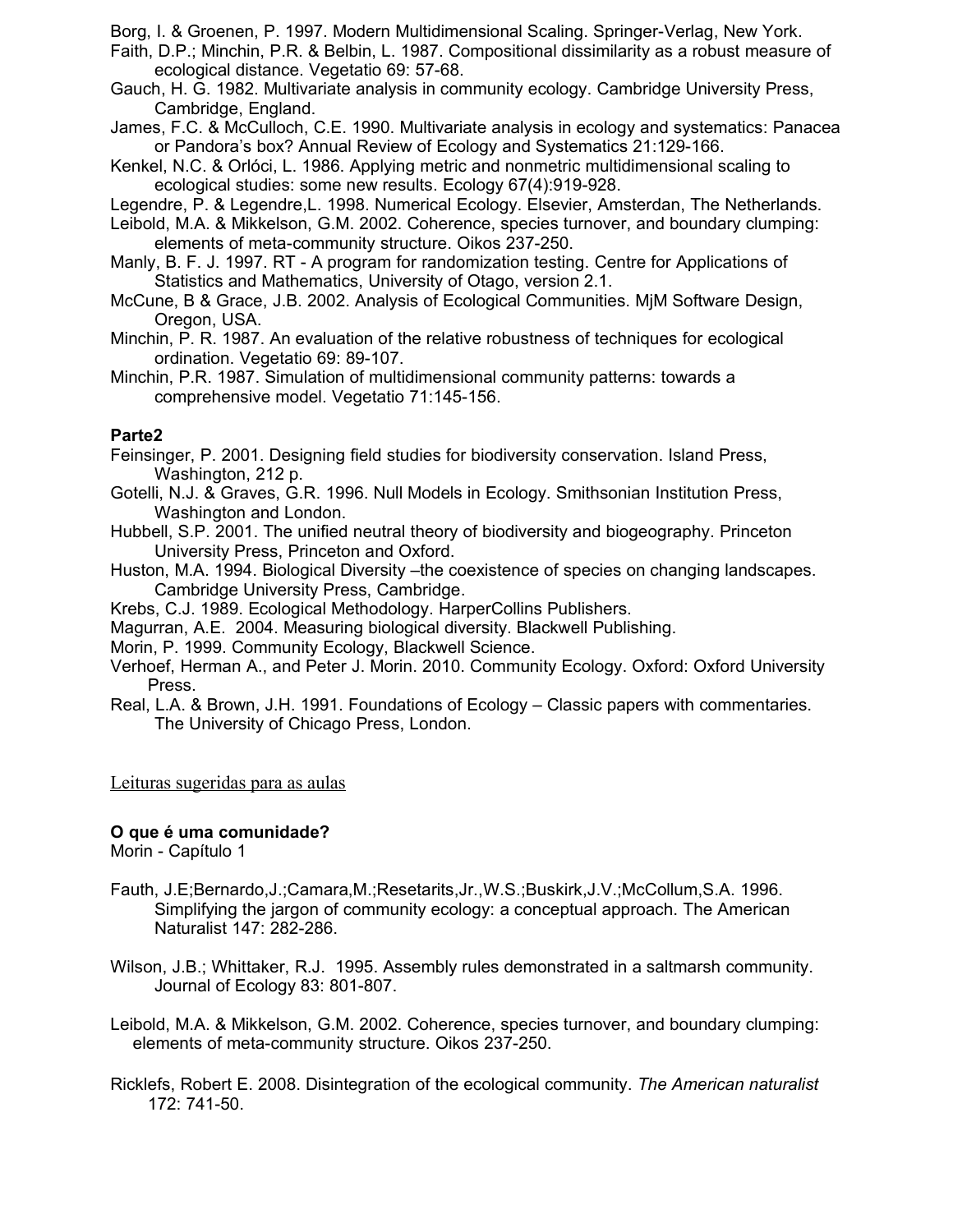Borg, I. & Groenen, P. 1997. Modern Multidimensional Scaling. Springer-Verlag, New York.

- Faith, D.P.; Minchin, P.R. & Belbin, L. 1987. Compositional dissimilarity as a robust measure of ecological distance. Vegetatio 69: 57-68.
- Gauch, H. G. 1982. Multivariate analysis in community ecology. Cambridge University Press, Cambridge, England.
- James, F.C. & McCulloch, C.E. 1990. Multivariate analysis in ecology and systematics: Panacea or Pandora's box? Annual Review of Ecology and Systematics 21:129-166.
- Kenkel, N.C. & Orlóci, L. 1986. Applying metric and nonmetric multidimensional scaling to ecological studies: some new results. Ecology 67(4):919-928.

Legendre, P. & Legendre,L. 1998. Numerical Ecology. Elsevier, Amsterdan, The Netherlands.

- Leibold, M.A. & Mikkelson, G.M. 2002. Coherence, species turnover, and boundary clumping: elements of meta-community structure. Oikos 237-250.
- Manly, B. F. J. 1997. RT A program for randomization testing. Centre for Applications of Statistics and Mathematics, University of Otago, version 2.1.
- McCune, B & Grace, J.B. 2002. Analysis of Ecological Communities. MjM Software Design, Oregon, USA.
- Minchin, P. R. 1987. An evaluation of the relative robustness of techniques for ecological ordination. Vegetatio 69: 89-107.
- Minchin, P.R. 1987. Simulation of multidimensional community patterns: towards a comprehensive model. Vegetatio 71:145-156.

## **Parte2**

Feinsinger, P. 2001. Designing field studies for biodiversity conservation. Island Press, Washington, 212 p.

- Gotelli, N.J. & Graves, G.R. 1996. Null Models in Ecology. Smithsonian Institution Press, Washington and London.
- Hubbell, S.P. 2001. The unified neutral theory of biodiversity and biogeography. Princeton University Press, Princeton and Oxford.
- Huston, M.A. 1994. Biological Diversity –the coexistence of species on changing landscapes. Cambridge University Press, Cambridge.
- Krebs, C.J. 1989. Ecological Methodology. HarperCollins Publishers.
- Magurran, A.E. 2004. Measuring biological diversity. Blackwell Publishing.
- Morin, P. 1999. Community Ecology, Blackwell Science.
- Verhoef, Herman A., and Peter J. Morin. 2010. Community Ecology. Oxford: Oxford University Press.
- Real, L.A. & Brown, J.H. 1991. Foundations of Ecology Classic papers with commentaries. The University of Chicago Press, London.

## Leituras sugeridas para as aulas

## **O que é uma comunidade?**

Morin - Capítulo 1

- Fauth, J.E;Bernardo,J.;Camara,M.;Resetarits,Jr.,W.S.;Buskirk,J.V.;McCollum,S.A. 1996. Simplifying the jargon of community ecology: a conceptual approach. The American Naturalist 147: 282-286.
- Wilson, J.B.; Whittaker, R.J. 1995. Assembly rules demonstrated in a saltmarsh community. Journal of Ecology 83: 801-807.
- Leibold, M.A. & Mikkelson, G.M. 2002. Coherence, species turnover, and boundary clumping: elements of meta-community structure. Oikos 237-250.
- Ricklefs, Robert E. 2008. Disintegration of the ecological community. *The American naturalist* 172: 741-50.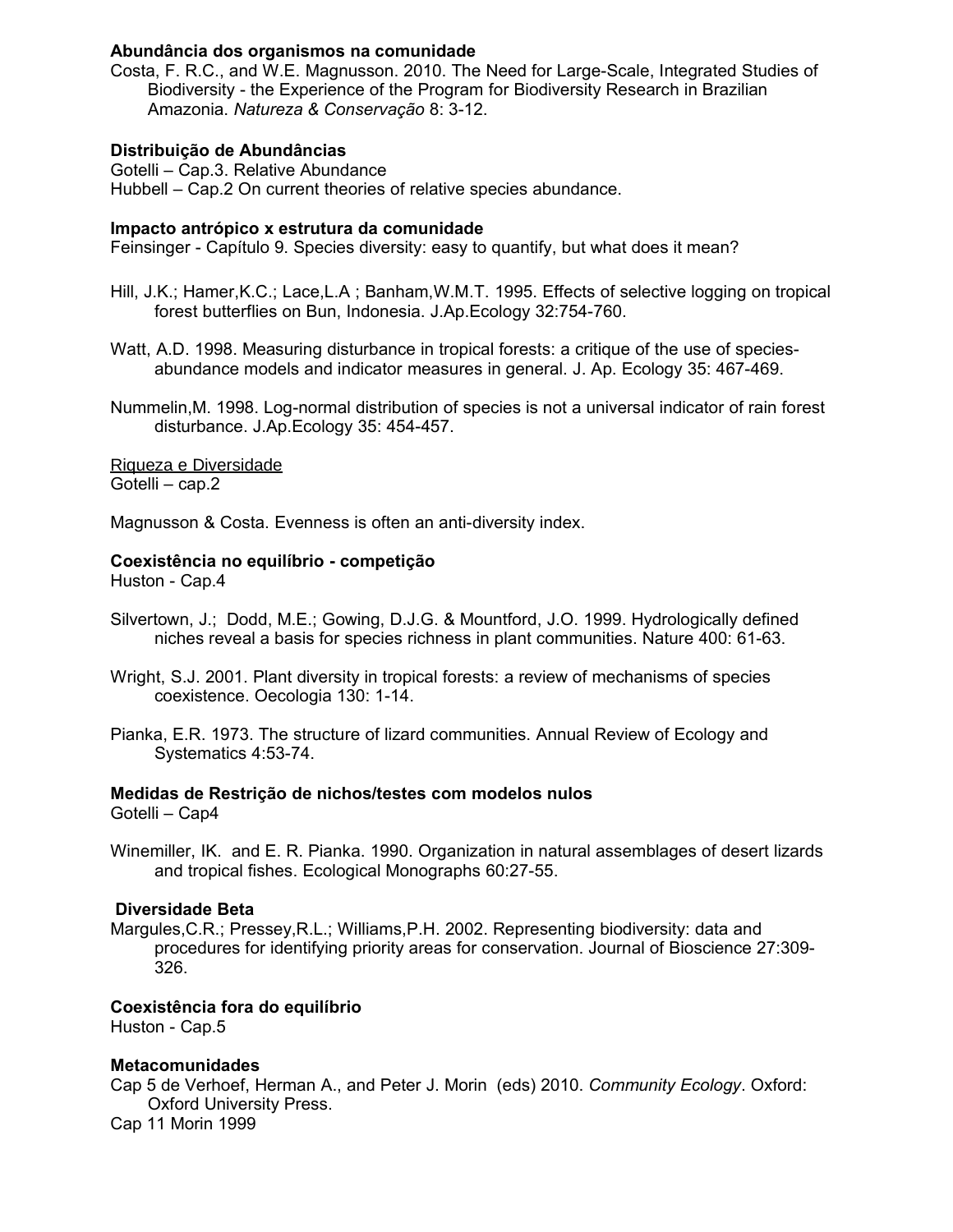#### **Abundância dos organismos na comunidade**

Costa, F. R.C., and W.E. Magnusson. 2010. The Need for Large-Scale, Integrated Studies of Biodiversity - the Experience of the Program for Biodiversity Research in Brazilian Amazonia. *Natureza & Conservação* 8: 3-12.

#### **Distribuição de Abundâncias**

Gotelli – Cap.3. Relative Abundance Hubbell – Cap.2 On current theories of relative species abundance.

#### **Impacto antrópico x estrutura da comunidade**

Feinsinger - Capítulo 9. Species diversity: easy to quantify, but what does it mean?

- Hill, J.K.; Hamer,K.C.; Lace,L.A ; Banham,W.M.T. 1995. Effects of selective logging on tropical forest butterflies on Bun, Indonesia. J.Ap.Ecology 32:754-760.
- Watt, A.D. 1998. Measuring disturbance in tropical forests: a critique of the use of speciesabundance models and indicator measures in general. J. Ap. Ecology 35: 467-469.
- Nummelin,M. 1998. Log-normal distribution of species is not a universal indicator of rain forest disturbance. J.Ap.Ecology 35: 454-457.

Riqueza e Diversidade Gotelli – cap.2

Magnusson & Costa. Evenness is often an anti-diversity index.

#### **Coexistência no equilíbrio - competição**

Huston - Cap.4

- Silvertown, J.; Dodd, M.E.; Gowing, D.J.G. & Mountford, J.O. 1999. Hydrologically defined niches reveal a basis for species richness in plant communities. Nature 400: 61-63.
- Wright, S.J. 2001. Plant diversity in tropical forests: a review of mechanisms of species coexistence. Oecologia 130: 1-14.
- Pianka, E.R. 1973. The structure of lizard communities. Annual Review of Ecology and Systematics 4:53-74.

#### **Medidas de Restrição de nichos/testes com modelos nulos**

Gotelli – Cap4

Winemiller, IK. and E. R. Pianka. 1990. Organization in natural assemblages of desert lizards and tropical fishes. Ecological Monographs 60:27-55.

#### **Diversidade Beta**

Margules,C.R.; Pressey,R.L.; Williams,P.H. 2002. Representing biodiversity: data and procedures for identifying priority areas for conservation. Journal of Bioscience 27:309- 326.

#### **Coexistência fora do equilíbrio**

Huston - Cap.5

#### **Metacomunidades**

Cap 5 de Verhoef, Herman A., and Peter J. Morin (eds) 2010. *Community Ecology*. Oxford: Oxford University Press. Cap 11 Morin 1999